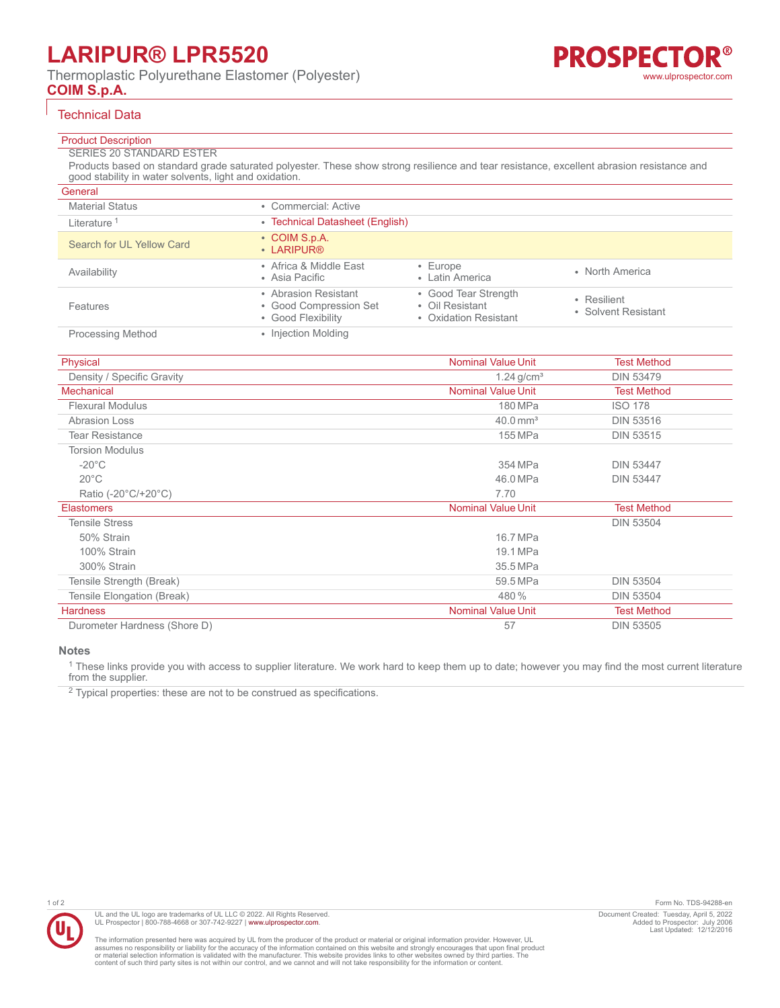## **COIM S.p.A.**

#### R® **PROSPECTO** [www.ulprospector.com](http://www.ulprospector.com)

# Technical Data

## Product Description

## SERIES 20 STANDARD ESTER

Products based on standard grade saturated polyester. These show strong resilience and tear resistance, excellent abrasion resistance and good stability in water solvents, light and oxidation.

| General                   |                                                                      |                                                                  |                                    |
|---------------------------|----------------------------------------------------------------------|------------------------------------------------------------------|------------------------------------|
| <b>Material Status</b>    | • Commercial: Active                                                 |                                                                  |                                    |
| Literature <sup>1</sup>   | • Technical Datasheet (English)                                      |                                                                  |                                    |
| Search for UL Yellow Card | • COIM S.p.A.<br>• LARIPUR®                                          |                                                                  |                                    |
| Availability              | • Africa & Middle East<br>• Asia Pacific                             | $\cdot$ Europe<br>• Latin America                                | • North America                    |
| Features                  | • Abrasion Resistant<br>• Good Compression Set<br>• Good Flexibility | • Good Tear Strength<br>• Oil Resistant<br>• Oxidation Resistant | • Resilient<br>• Solvent Resistant |
| <b>Processing Method</b>  | • Injection Molding                                                  |                                                                  |                                    |

| Physical                     | <b>Nominal Value Unit</b> | <b>Test Method</b> |
|------------------------------|---------------------------|--------------------|
| Density / Specific Gravity   | $1.24$ g/cm <sup>3</sup>  | <b>DIN 53479</b>   |
| <b>Mechanical</b>            | <b>Nominal Value Unit</b> | <b>Test Method</b> |
| <b>Flexural Modulus</b>      | 180 MPa                   | <b>ISO 178</b>     |
| <b>Abrasion Loss</b>         | $40.0 \text{ mm}^3$       | <b>DIN 53516</b>   |
| <b>Tear Resistance</b>       | 155 MPa                   | <b>DIN 53515</b>   |
| <b>Torsion Modulus</b>       |                           |                    |
| $-20^{\circ}$ C              | 354 MPa                   | <b>DIN 53447</b>   |
| $20^{\circ}$ C               | 46.0 MPa                  | <b>DIN 53447</b>   |
| Ratio (-20°C/+20°C)          | 7.70                      |                    |
| <b>Elastomers</b>            | <b>Nominal Value Unit</b> | <b>Test Method</b> |
| <b>Tensile Stress</b>        |                           | <b>DIN 53504</b>   |
| 50% Strain                   | 16.7 MPa                  |                    |
| 100% Strain                  | 19.1 MPa                  |                    |
| 300% Strain                  | 35.5 MPa                  |                    |
| Tensile Strength (Break)     | 59.5 MPa                  | <b>DIN 53504</b>   |
| Tensile Elongation (Break)   | 480 %                     | <b>DIN 53504</b>   |
| <b>Hardness</b>              | <b>Nominal Value Unit</b> | <b>Test Method</b> |
| Durometer Hardness (Shore D) | 57                        | <b>DIN 53505</b>   |

**Notes**

<sup>1</sup> These links provide you with access to supplier literature. We work hard to keep them up to date; however you may find the most current literature from the supplier.

 $2$  Typical properties: these are not to be construed as specifications.



The information presented here was acquired by UL from the producer of the product or material or original information provider. However, UL<br>assumes no responsibility or liability for the accuracy of the information contai